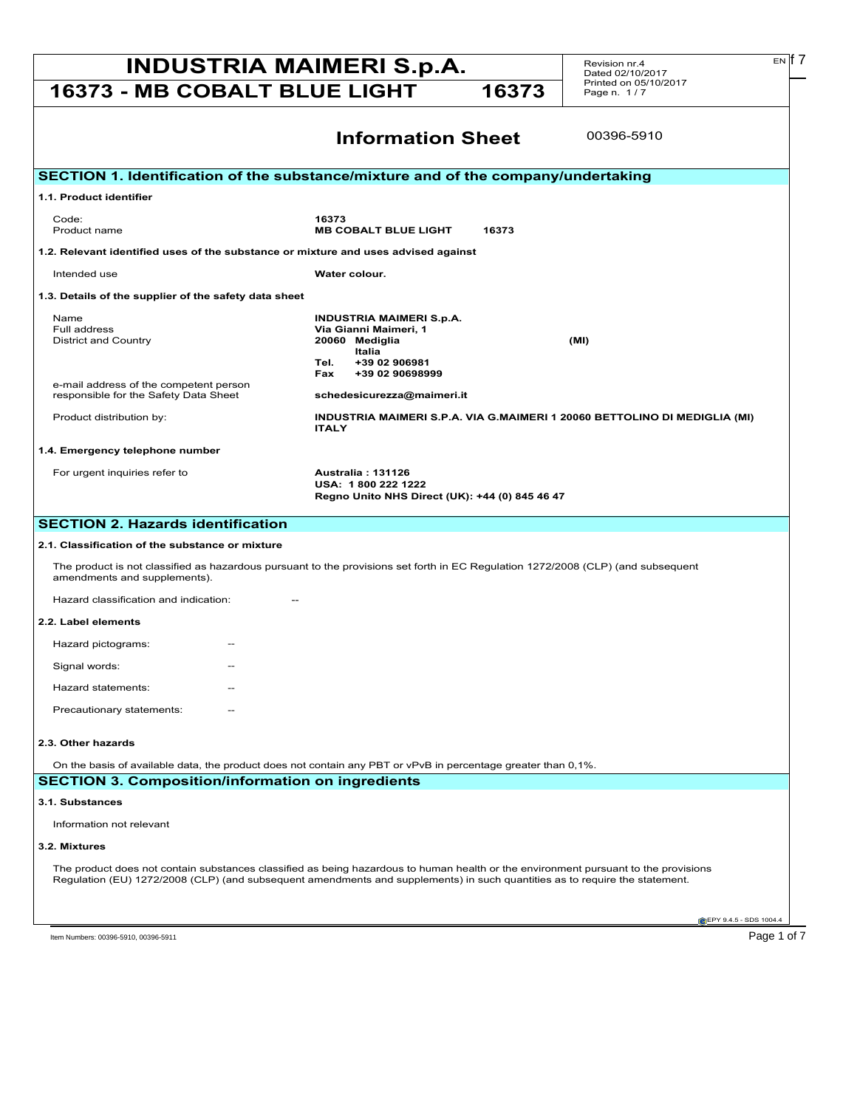# **INDUSTRIA MAIMERI S.p.A.** Revision nr.4 **Exp.17**

Revision nr.4 Dated 02/10/2017 Printed on 05/10/2017 Page n. 1 / 7

# **16373 - MB COBALT BLUE LIGHT 16373**

00396-5910

| 1.1. Product identifier                                                                                                             |                                                                                                                                                                                                                                                                    |
|-------------------------------------------------------------------------------------------------------------------------------------|--------------------------------------------------------------------------------------------------------------------------------------------------------------------------------------------------------------------------------------------------------------------|
| Code:                                                                                                                               | 16373                                                                                                                                                                                                                                                              |
| Product name                                                                                                                        | <b>MB COBALT BLUE LIGHT</b><br>16373                                                                                                                                                                                                                               |
| 1.2. Relevant identified uses of the substance or mixture and uses advised against                                                  |                                                                                                                                                                                                                                                                    |
| Intended use                                                                                                                        | Water colour.                                                                                                                                                                                                                                                      |
| 1.3. Details of the supplier of the safety data sheet                                                                               |                                                                                                                                                                                                                                                                    |
| Name                                                                                                                                | <b>INDUSTRIA MAIMERI S.p.A.</b>                                                                                                                                                                                                                                    |
| Full address<br><b>District and Country</b>                                                                                         | Via Gianni Maimeri, 1<br>20060 Mediglia<br>(MI)                                                                                                                                                                                                                    |
|                                                                                                                                     | Italia                                                                                                                                                                                                                                                             |
|                                                                                                                                     | Tel.<br>+39 02 906981<br>Fax<br>+39 02 90698999                                                                                                                                                                                                                    |
| e-mail address of the competent person                                                                                              |                                                                                                                                                                                                                                                                    |
| responsible for the Safety Data Sheet                                                                                               | schedesicurezza@maimeri.it                                                                                                                                                                                                                                         |
| Product distribution by:                                                                                                            | INDUSTRIA MAIMERI S.P.A. VIA G.MAIMERI 1 20060 BETTOLINO DI MEDIGLIA (MI)<br><b>ITALY</b>                                                                                                                                                                          |
| 1.4. Emergency telephone number                                                                                                     |                                                                                                                                                                                                                                                                    |
| For urgent inquiries refer to                                                                                                       | <b>Australia: 131126</b>                                                                                                                                                                                                                                           |
|                                                                                                                                     | USA: 1800 222 1222                                                                                                                                                                                                                                                 |
|                                                                                                                                     | Regno Unito NHS Direct (UK): +44 (0) 845 46 47                                                                                                                                                                                                                     |
| Hazard classification and indication:                                                                                               |                                                                                                                                                                                                                                                                    |
| 2.2. Label elements<br>Hazard pictograms:<br>Signal words:<br>Hazard statements:<br>Precautionary statements:<br>2.3. Other hazards |                                                                                                                                                                                                                                                                    |
|                                                                                                                                     | On the basis of available data, the product does not contain any PBT or vPvB in percentage greater than 0,1%.                                                                                                                                                      |
|                                                                                                                                     |                                                                                                                                                                                                                                                                    |
|                                                                                                                                     |                                                                                                                                                                                                                                                                    |
| Information not relevant                                                                                                            |                                                                                                                                                                                                                                                                    |
| <b>SECTION 3. Composition/information on ingredients</b><br>3.1. Substances<br>3.2. Mixtures                                        |                                                                                                                                                                                                                                                                    |
|                                                                                                                                     | The product does not contain substances classified as being hazardous to human health or the environment pursuant to the provisions<br>Requlation (EU) 1272/2008 (CLP) (and subsequent amendments and supplements) in such quantities as to require the statement. |
|                                                                                                                                     | EPY 9.4.5 - SDS 1004.4                                                                                                                                                                                                                                             |

**Information Sheet**

 $E[N]$  7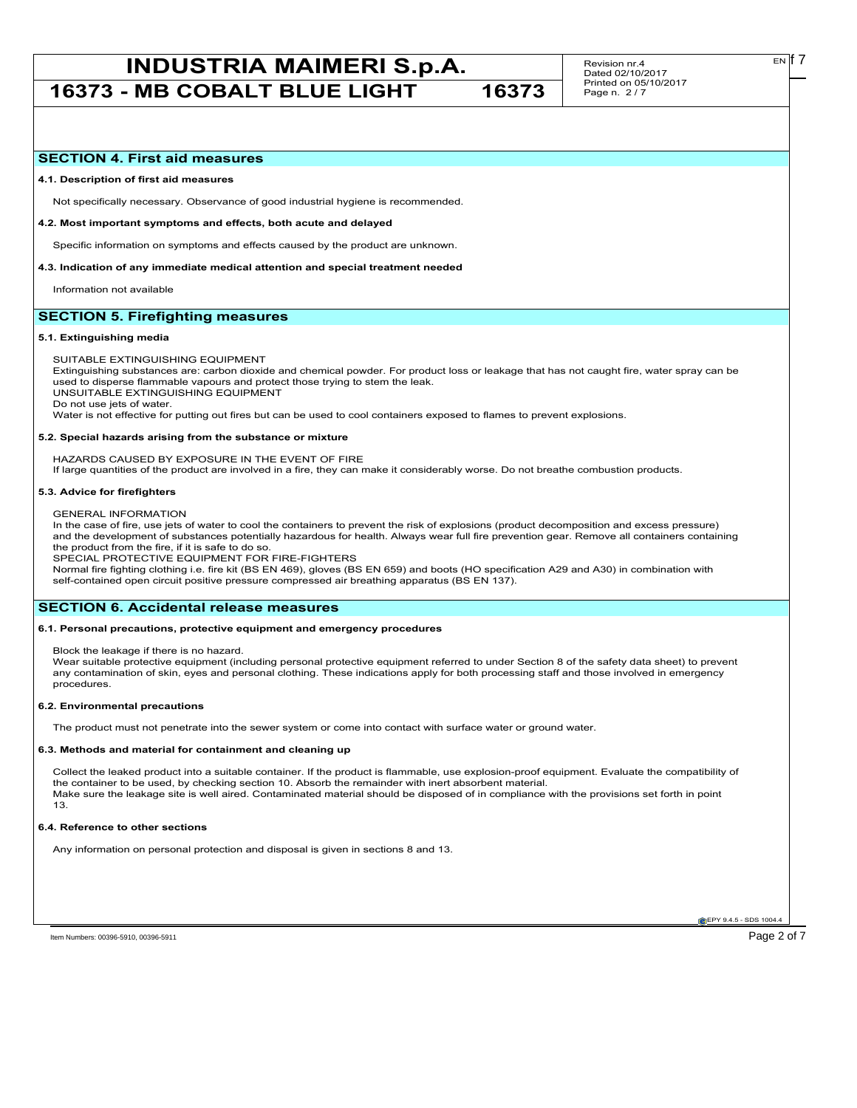Revision nr.4 Dated 02/10/2017 Printed on 05/10/2017 Page n. 2 / 7

# **SECTION 4. First aid measures**

#### **4.1. Description of first aid measures**

Not specifically necessary. Observance of good industrial hygiene is recommended.

#### **4.2. Most important symptoms and effects, both acute and delayed**

Specific information on symptoms and effects caused by the product are unknown.

#### **4.3. Indication of any immediate medical attention and special treatment needed**

Information not available

# **SECTION 5. Firefighting measures**

#### **5.1. Extinguishing media**

SUITABLE EXTINGUISHING EQUIPMENT

Extinguishing substances are: carbon dioxide and chemical powder. For product loss or leakage that has not caught fire, water spray can be used to disperse flammable vapours and protect those trying to stem the leak.

UNSUITABLE EXTINGUISHING EQUIPMENT

Do not use jets of water.

Water is not effective for putting out fires but can be used to cool containers exposed to flames to prevent explosions.

#### **5.2. Special hazards arising from the substance or mixture**

HAZARDS CAUSED BY EXPOSURE IN THE EVENT OF FIRE

If large quantities of the product are involved in a fire, they can make it considerably worse. Do not breathe combustion products.

#### **5.3. Advice for firefighters**

### GENERAL INFORMATION

In the case of fire, use jets of water to cool the containers to prevent the risk of explosions (product decomposition and excess pressure) and the development of substances potentially hazardous for health. Always wear full fire prevention gear. Remove all containers containing the product from the fire, if it is safe to do so.

SPECIAL PROTECTIVE EQUIPMENT FOR FIRE-FIGHTERS

Normal fire fighting clothing i.e. fire kit (BS EN 469), gloves (BS EN 659) and boots (HO specification A29 and A30) in combination with self-contained open circuit positive pressure compressed air breathing apparatus (BS EN 137).

## **SECTION 6. Accidental release measures**

#### **6.1. Personal precautions, protective equipment and emergency procedures**

Block the leakage if there is no hazard.

Wear suitable protective equipment (including personal protective equipment referred to under Section 8 of the safety data sheet) to prevent any contamination of skin, eyes and personal clothing. These indications apply for both processing staff and those involved in emergency procedures.

#### **6.2. Environmental precautions**

The product must not penetrate into the sewer system or come into contact with surface water or ground water.

#### **6.3. Methods and material for containment and cleaning up**

Collect the leaked product into a suitable container. If the product is flammable, use explosion-proof equipment. Evaluate the compatibility of the container to be used, by checking section 10. Absorb the remainder with inert absorbent material. Make sure the leakage site is well aired. Contaminated material should be disposed of in compliance with the provisions set forth in point 13.

#### **6.4. Reference to other sections**

Any information on personal protection and disposal is given in sections 8 and 13.

**EPY 9.4.5 - SDS 1004**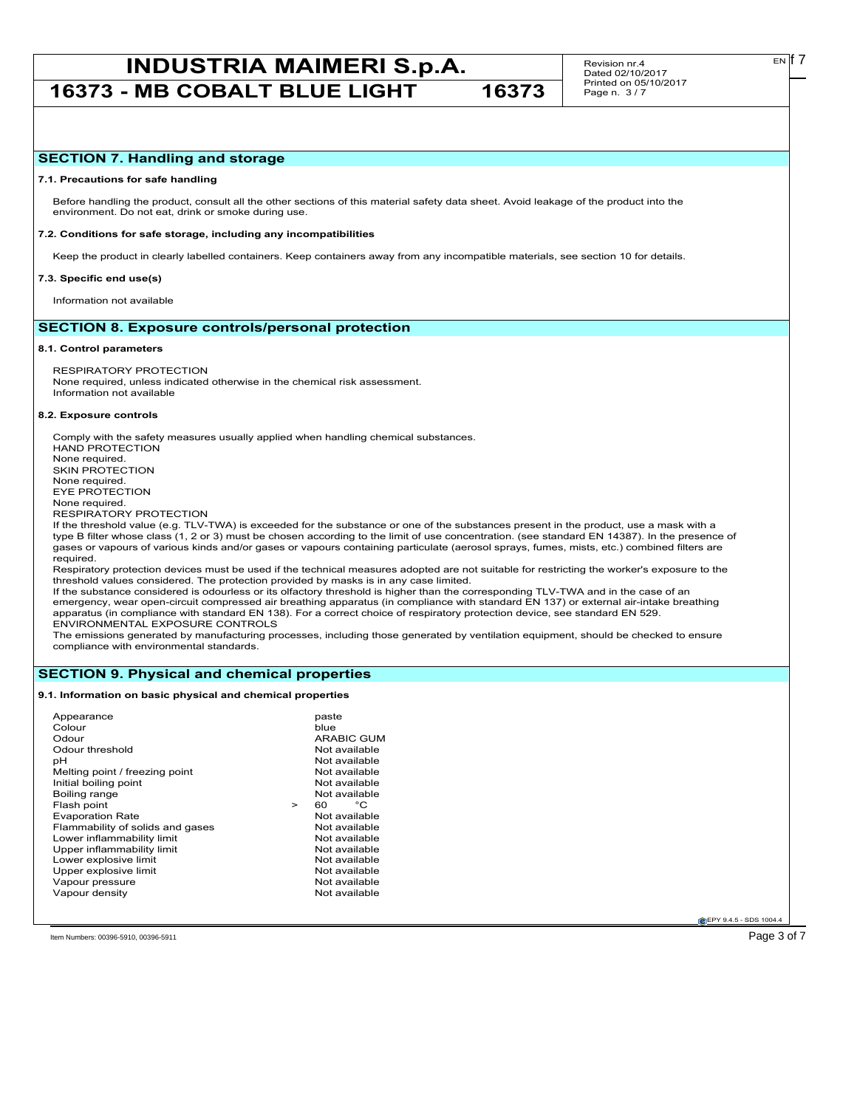# **INDUSTRIA MAIMERI S.p.A.** Revision nr.4 **Exp.17**

**16373 - MB COBALT BLUE LIGHT 16373**

Revision nr.4 Dated 02/10/2017 Printed on 05/10/2017 Page n. 3 / 7

#### **7.1. Precautions for safe handling**

Before handling the product, consult all the other sections of this material safety data sheet. Avoid leakage of the product into the environment. Do not eat, drink or smoke during use.

#### **7.2. Conditions for safe storage, including any incompatibilities**

Keep the product in clearly labelled containers. Keep containers away from any incompatible materials, see section 10 for details.

#### **7.3. Specific end use(s)**

Information not available

# **SECTION 8. Exposure controls/personal protection**

#### **8.1. Control parameters**

RESPIRATORY PROTECTION None required, unless indicated otherwise in the chemical risk assessment. Information not available

#### **8.2. Exposure controls**

Comply with the safety measures usually applied when handling chemical substances. HAND PROTECTION None required. SKIN PROTECTION None required. EYE PROTECTION None required. RESPIRATORY PROTECTION

If the threshold value (e.g. TLV-TWA) is exceeded for the substance or one of the substances present in the product, use a mask with a type B filter whose class (1, 2 or 3) must be chosen according to the limit of use concentration. (see standard EN 14387). In the presence of gases or vapours of various kinds and/or gases or vapours containing particulate (aerosol sprays, fumes, mists, etc.) combined filters are required.

Respiratory protection devices must be used if the technical measures adopted are not suitable for restricting the worker's exposure to the threshold values considered. The protection provided by masks is in any case limited.

If the substance considered is odourless or its olfactory threshold is higher than the corresponding TLV-TWA and in the case of an emergency, wear open-circuit compressed air breathing apparatus (in compliance with standard EN 137) or external air-intake breathing apparatus (in compliance with standard EN 138). For a correct choice of respiratory protection device, see standard EN 529. ENVIRONMENTAL EXPOSURE CONTROLS

The emissions generated by manufacturing processes, including those generated by ventilation equipment, should be checked to ensure compliance with environmental standards.

# **SECTION 9. Physical and chemical properties**

### **9.1. Information on basic physical and chemical properties**

| Appearance<br>Colour<br>Odour<br>Odour threshold<br>рH<br>Melting point / freezing point<br>Initial boiling point<br>Boiling range<br>Flash point<br><b>Evaporation Rate</b><br>Flammability of solids and gases<br>Lower inflammability limit<br>Upper inflammability limit<br>Lower explosive limit<br>Upper explosive limit<br>Vapour pressure | $\geq$ | paste<br>blue<br>ARABIC GUM<br>Not available<br>Not available<br>Not available<br>Not available<br>Not available<br>°€<br>60<br>Not available<br>Not available<br>Not available<br>Not available<br>Not available<br>Not available<br>Not available |
|---------------------------------------------------------------------------------------------------------------------------------------------------------------------------------------------------------------------------------------------------------------------------------------------------------------------------------------------------|--------|-----------------------------------------------------------------------------------------------------------------------------------------------------------------------------------------------------------------------------------------------------|
| Vapour density                                                                                                                                                                                                                                                                                                                                    |        | Not available                                                                                                                                                                                                                                       |

**EPY 9.4.5 - SDS 1004** 

Item Numbers: 00396-5910, 00396-5911 Page 3 of 7

EN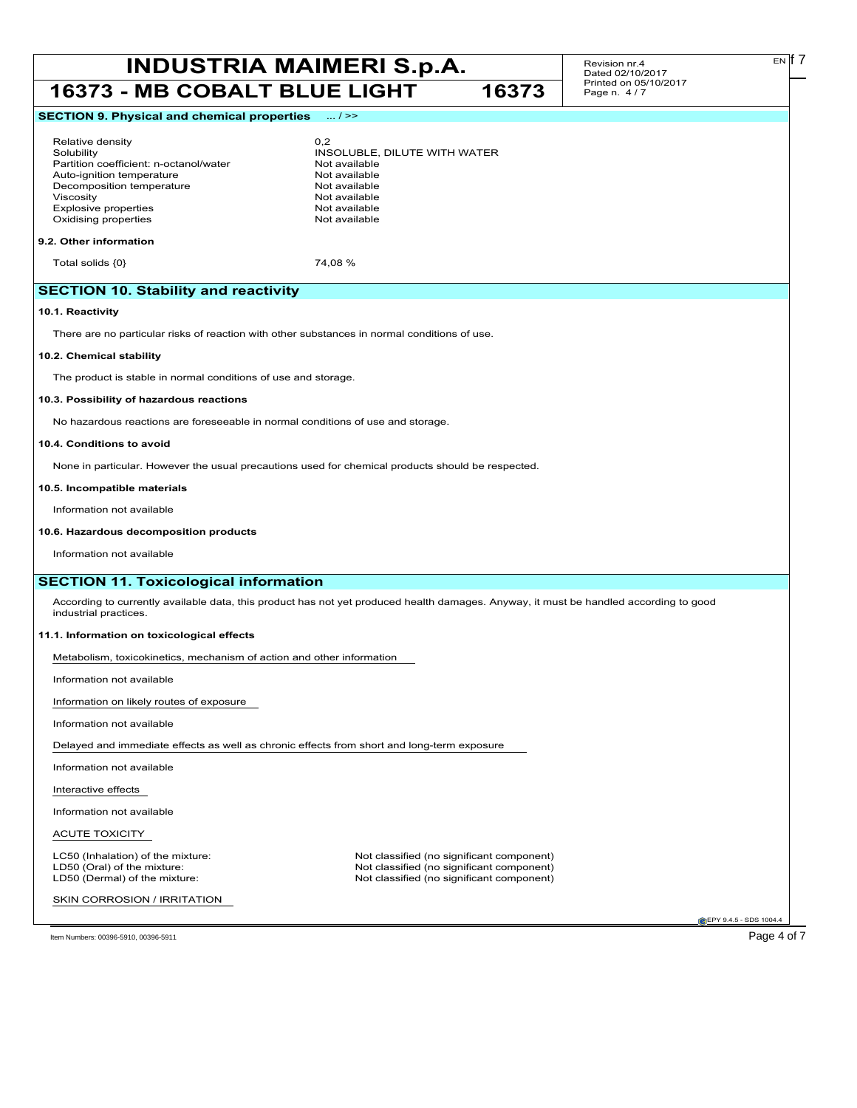# **INDUSTRIA MAIMERI S.p.A.** Revision nr.4 **Dated 02/10/2017 16373 - MB COBALT BLUE LIGHT 16373**

Revision nr.4 Dated 02/10/2017 Printed on 05/10/2017 Page n. 4 / 7

EN

# **SECTION 9. Physical and chemical properties** ... / >>

# Relative density 0,2

Partition coefficient: n-octanol/water **Not available**<br>Auto-ignition temperature **Not available** Auto-ignition temperature<br>
Decomposition temperature<br>
Not available Decomposition temperature Viscosity<br>
Explosive properties<br>
Explosive properties<br>
Not available Explosive properties Oxidising properties Not available

Solubility INSOLUBLE, DILUTE WITH WATER

#### **9.2. Other information**

Total solids  $\{0\}$  74,08 %

# **SECTION 10. Stability and reactivity**

#### **10.1. Reactivity**

There are no particular risks of reaction with other substances in normal conditions of use.

#### **10.2. Chemical stability**

The product is stable in normal conditions of use and storage.

#### **10.3. Possibility of hazardous reactions**

No hazardous reactions are foreseeable in normal conditions of use and storage.

#### **10.4. Conditions to avoid**

None in particular. However the usual precautions used for chemical products should be respected.

#### **10.5. Incompatible materials**

Information not available

#### **10.6. Hazardous decomposition products**

Information not available

# **SECTION 11. Toxicological information**

According to currently available data, this product has not yet produced health damages. Anyway, it must be handled according to good industrial practices.

#### **11.1. Information on toxicological effects**

Metabolism, toxicokinetics, mechanism of action and other information

Information not available

Information on likely routes of exposure

Information not available

Delayed and immediate effects as well as chronic effects from short and long-term exposure

Information not available

Interactive effects

Information not available

### ACUTE TOXICITY

SKIN CORROSION / IRRITATION

LC50 (Inhalation) of the mixture: Not classified (no significant component)<br>
LD50 (Oral) of the mixture: Not classified (no significant component) LD50 (Oral) of the mixture: Not classified (no significant component)<br>
LD50 (Dermal) of the mixture: Not classified (no significant component) Not classified (no significant component)

**EPY 9.4.5 - SDS 1004** 

Item Numbers: 00396-5910, 00396-5911 Page 4 of 7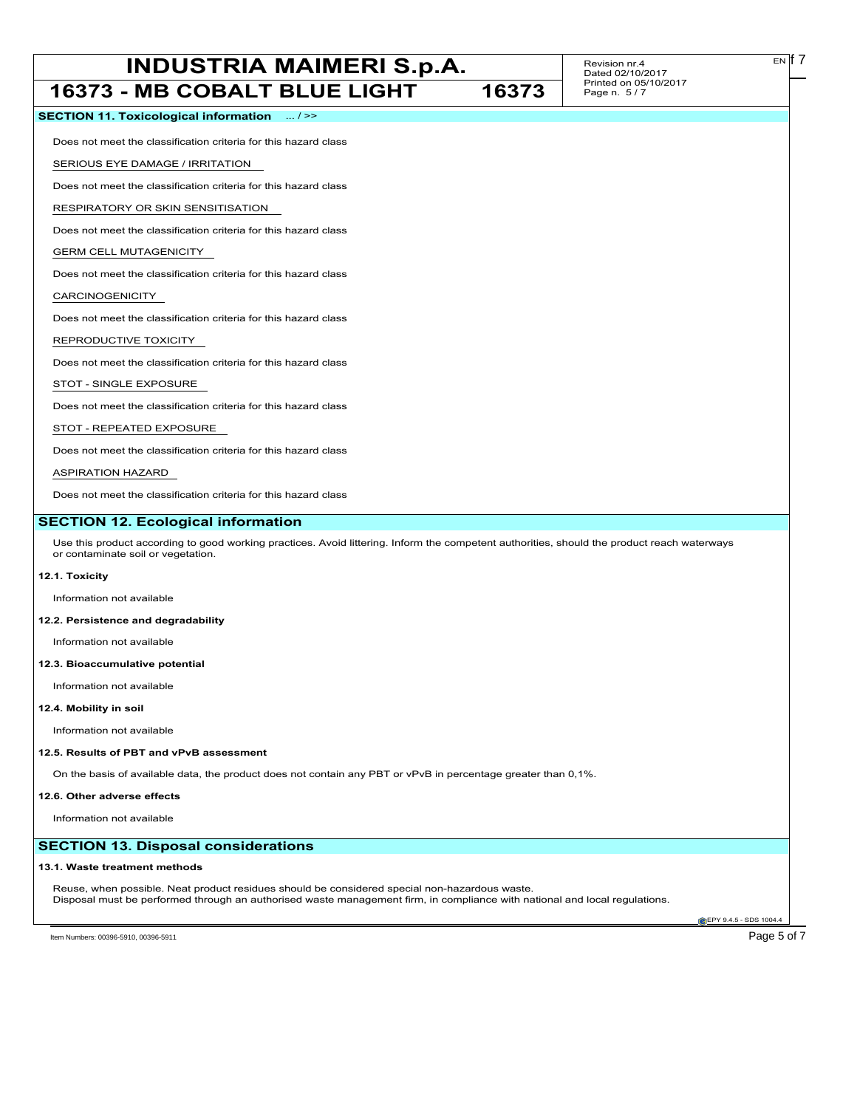# **INDUSTRIA MAIMERI S.p.A.** Revision nr.4 **Example 1 Example 1 Example 1 Example 1 Example 1 Example 1 Example 1 Example 1 Example 1 Example 1 Example 1 Example 1 Example 1 Example 1 Example 1**

Revision nr.4 Dated 02/10/2017 Printed on 05/10/2017 Page n. 5 / 7

| <b>16373 - MB COBALT BLUE LIGHT</b>                                                                                                                                               | 16373 | Printed on 05/10/2017<br>Page n. 5/7 |
|-----------------------------------------------------------------------------------------------------------------------------------------------------------------------------------|-------|--------------------------------------|
| SECTION 11. Toxicological information  / >>                                                                                                                                       |       |                                      |
| Does not meet the classification criteria for this hazard class                                                                                                                   |       |                                      |
| SERIOUS EYE DAMAGE / IRRITATION                                                                                                                                                   |       |                                      |
| Does not meet the classification criteria for this hazard class                                                                                                                   |       |                                      |
| RESPIRATORY OR SKIN SENSITISATION                                                                                                                                                 |       |                                      |
| Does not meet the classification criteria for this hazard class                                                                                                                   |       |                                      |
| <b>GERM CELL MUTAGENICITY</b>                                                                                                                                                     |       |                                      |
| Does not meet the classification criteria for this hazard class                                                                                                                   |       |                                      |
| CARCINOGENICITY                                                                                                                                                                   |       |                                      |
| Does not meet the classification criteria for this hazard class                                                                                                                   |       |                                      |
| REPRODUCTIVE TOXICITY                                                                                                                                                             |       |                                      |
| Does not meet the classification criteria for this hazard class                                                                                                                   |       |                                      |
| STOT - SINGLE EXPOSURE                                                                                                                                                            |       |                                      |
| Does not meet the classification criteria for this hazard class                                                                                                                   |       |                                      |
| STOT - REPEATED EXPOSURE                                                                                                                                                          |       |                                      |
| Does not meet the classification criteria for this hazard class                                                                                                                   |       |                                      |
| <b>ASPIRATION HAZARD</b>                                                                                                                                                          |       |                                      |
| Does not meet the classification criteria for this hazard class                                                                                                                   |       |                                      |
| <b>SECTION 12. Ecological information</b>                                                                                                                                         |       |                                      |
| Use this product according to good working practices. Avoid littering. Inform the competent authorities, should the product reach waterways<br>or contaminate soil or vegetation. |       |                                      |
| 12.1. Toxicity                                                                                                                                                                    |       |                                      |
| Information not available                                                                                                                                                         |       |                                      |
| 12.2. Persistence and degradability                                                                                                                                               |       |                                      |
| Information not available                                                                                                                                                         |       |                                      |
| 12.3. Bioaccumulative potential                                                                                                                                                   |       |                                      |
| Information not available                                                                                                                                                         |       |                                      |
| 12.4. Mobility in soil                                                                                                                                                            |       |                                      |
| Information not available                                                                                                                                                         |       |                                      |
| 12.5. Results of PBT and vPvB assessment                                                                                                                                          |       |                                      |
| On the basis of available data, the product does not contain any PBT or vPvB in percentage greater than 0,1%.                                                                     |       |                                      |
| 12.6. Other adverse effects                                                                                                                                                       |       |                                      |
| Information not available                                                                                                                                                         |       |                                      |
| <b>SECTION 13. Disposal considerations</b>                                                                                                                                        |       |                                      |
| 13.1. Waste treatment methods                                                                                                                                                     |       |                                      |
| Reuse, when possible. Neat product residues should be considered special non-hazardous waste.                                                                                     |       |                                      |
| Disposal must be performed through an authorised waste management firm, in compliance with national and local regulations.                                                        |       | EPY 9.4.5 - SDS 1004.4               |
|                                                                                                                                                                                   |       |                                      |

Item Numbers: 00396-5910, 00396-5911 Page 5 of 7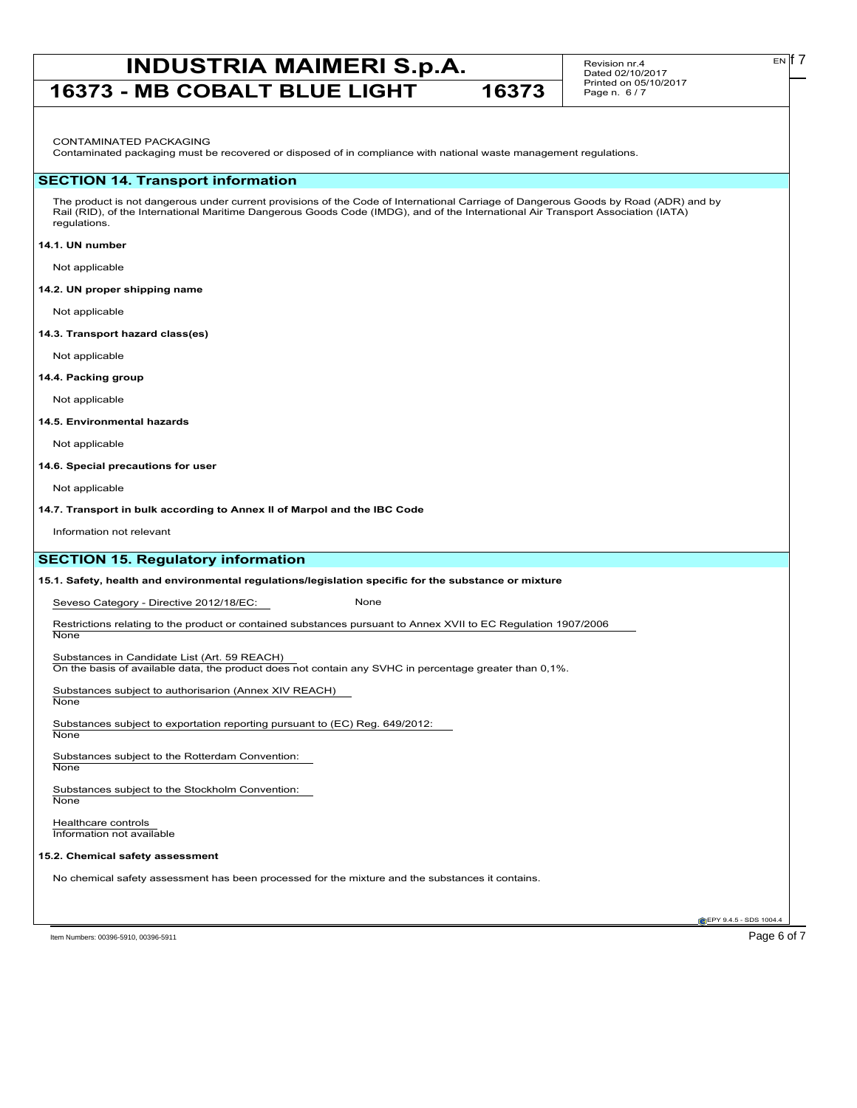# **INDUSTRIA MAIMERI S.p.A.** Revision nr.4 **Exp.17 16373 - MB COBALT BLUE LIGHT 16373**

Revision nr.4 Dated 02/10/2017 Printed on 05/10/2017 Page n. 6 / 7

Contaminated packaging must be recovered or disposed of in compliance with national waste management regulations.

#### **SECTION 14. Transport information**

The product is not dangerous under current provisions of the Code of International Carriage of Dangerous Goods by Road (ADR) and by Rail (RID), of the International Maritime Dangerous Goods Code (IMDG), and of the International Air Transport Association (IATA) regulations.

#### **14.1. UN number**

Not applicable

#### **14.2. UN proper shipping name**

Not applicable

#### **14.3. Transport hazard class(es)**

Not applicable

#### **14.4. Packing group**

Not applicable

### **14.5. Environmental hazards**

Not applicable

#### **14.6. Special precautions for user**

Not applicable

#### **14.7. Transport in bulk according to Annex II of Marpol and the IBC Code**

Information not relevant

# **SECTION 15. Regulatory information**

#### **15.1. Safety, health and environmental regulations/legislation specific for the substance or mixture**

Seveso Category - Directive 2012/18/EC: None

Restrictions relating to the product or contained substances pursuant to Annex XVII to EC Regulation 1907/2006

Substances in Candidate List (Art. 59 REACH)

On the basis of available data, the product does not contain any SVHC in percentage greater than 0,1%.

Substances subject to authorisarion (Annex XIV REACH)

None

**None** 

Substances subject to exportation reporting pursuant to (EC) Reg. 649/2012: **None** 

Substances subject to the Rotterdam Convention:

**None** 

Substances subject to the Stockholm Convention: **None** 

Healthcare controls Information not available

#### **15.2. Chemical safety assessment**

No chemical safety assessment has been processed for the mixture and the substances it contains.

Item Numbers: 00396-5910, 00396-5911 Page 6 of 7

**EPY 9.4.5 - SDS 1004** 

EN